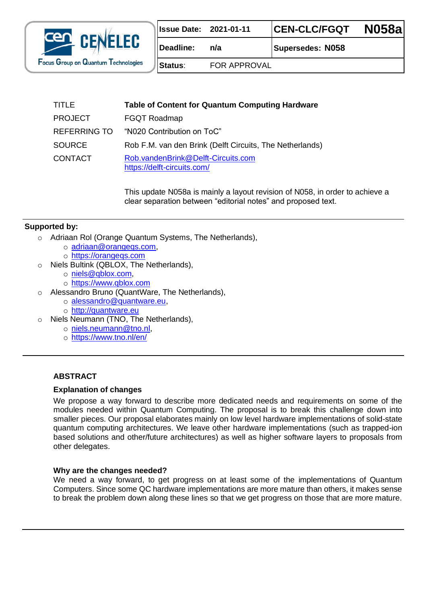

|  | <b>Issue Date: 2021-01-11</b> | <b>CEN-CLC/FGQT</b> | <b>N058al</b> |
|--|-------------------------------|---------------------|---------------|
|--|-------------------------------|---------------------|---------------|

**Deadline: n/a Supersedes: N058**

**Status**: FOR APPROVAL

| <b>TITLE</b>   | <b>Table of Content for Quantum Computing Hardware</b>            |
|----------------|-------------------------------------------------------------------|
| <b>PROJECT</b> | <b>FGQT Roadmap</b>                                               |
| REFERRING TO   | "N020 Contribution on ToC"                                        |
| <b>SOURCE</b>  | Rob F.M. van den Brink (Delft Circuits, The Netherlands)          |
| <b>CONTACT</b> | Rob.vandenBrink@Delft-Circuits.com<br>https://delft-circuits.com/ |

This update N058a is mainly a layout revision of N058, in order to achieve a clear separation between "editorial notes" and proposed text.

#### **Supported by:**

- o Adriaan Rol (Orange Quantum Systems, The Netherlands),
	- o [adriaan@orangeqs.com,](mailto:adriaan@orangeqs.com)
	- o [https://orangeqs.com](https://orangeqs.com/)
- o Niels Bultink (QBLOX, The Netherlands),
	- o [niels@qblox.com,](mailto:niels@qblox.com)
	- o [https://www.qblox.com](https://www.qblox.com/)
- o Alessandro Bruno (QuantWare, The Netherlands),
	- o [alessandro@quantware.eu,](mailto:alessandro@quantware.eu)
	- o [http://quantware.eu](http://quantware.eu/)
- Niels Neumann (TNO, The Netherlands),
	- o [niels.neumann@tno.nl,](mailto:niels.neumann@tno.nl)
	- o <https://www.tno.nl/en/>

#### **ABSTRACT**

#### **Explanation of changes**

We propose a way forward to describe more dedicated needs and requirements on some of the modules needed within Quantum Computing. The proposal is to break this challenge down into smaller pieces. Our proposal elaborates mainly on low level hardware implementations of solid-state quantum computing architectures. We leave other hardware implementations (such as trapped-ion based solutions and other/future architectures) as well as higher software layers to proposals from other delegates.

#### **Why are the changes needed?**

We need a way forward, to get progress on at least some of the implementations of Quantum Computers. Since some QC hardware implementations are more mature than others, it makes sense to break the problem down along these lines so that we get progress on those that are more mature.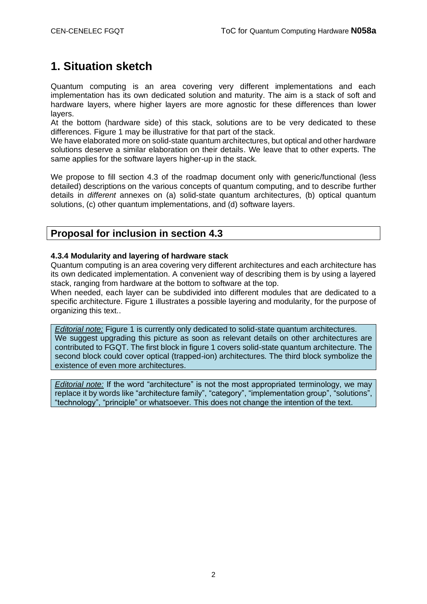# **1. Situation sketch**

Quantum computing is an area covering very different implementations and each implementation has its own dedicated solution and maturity. The aim is a stack of soft and hardware layers, where higher layers are more agnostic for these differences than lower layers.

At the bottom (hardware side) of this stack, solutions are to be very dedicated to these differences. Figure 1 may be illustrative for that part of the stack.

We have elaborated more on solid-state quantum architectures, but optical and other hardware solutions deserve a similar elaboration on their details. We leave that to other experts. The same applies for the software layers higher-up in the stack.

We propose to fill section 4.3 of the roadmap document only with generic/functional (less detailed) descriptions on the various concepts of quantum computing, and to describe further details in *different* annexes on (a) solid-state quantum architectures, (b) optical quantum solutions, (c) other quantum implementations, and (d) software layers.

### **Proposal for inclusion in section 4.3**

#### **4.3.4 Modularity and layering of hardware stack**

Quantum computing is an area covering very different architectures and each architecture has its own dedicated implementation. A convenient way of describing them is by using a layered stack, ranging from hardware at the bottom to software at the top.

When needed, each layer can be subdivided into different modules that are dedicated to a specific architecture. Figure 1 illustrates a possible layering and modularity, for the purpose of organizing this text..

*Editorial note:* Figure 1 is currently only dedicated to solid-state quantum architectures. We suggest upgrading this picture as soon as relevant details on other architectures are contributed to FGQT. The first block in figure 1 covers solid-state quantum architecture. The second block could cover optical (trapped-ion) architectures. The third block symbolize the existence of even more architectures.

*Editorial note:* If the word "architecture" is not the most appropriated terminology, we may replace it by words like "architecture family", "category", "implementation group", "solutions", "technology", "principle" or whatsoever. This does not change the intention of the text.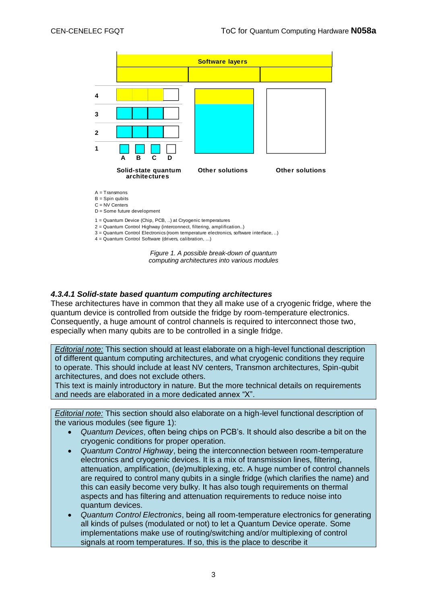

*Figure 1. A possible break-down of quantum computing architectures into various modules*

#### *4.3.4.1 Solid-state based quantum computing architectures*

These architectures have in common that they all make use of a cryogenic fridge, where the quantum device is controlled from outside the fridge by room-temperature electronics. Consequently, a huge amount of control channels is required to interconnect those two, especially when many qubits are to be controlled in a single fridge.

*Editorial note:* This section should at least elaborate on a high-level functional description of different quantum computing architectures, and what cryogenic conditions they require to operate. This should include at least NV centers, Transmon architectures, Spin-qubit architectures, and does not exclude others.

This text is mainly introductory in nature. But the more technical details on requirements and needs are elaborated in a more dedicated annex "X".

*Editorial note:* This section should also elaborate on a high-level functional description of the various modules (see figure 1):

- *Quantum Devices*, often being chips on PCB's. It should also describe a bit on the cryogenic conditions for proper operation.
- *Quantum Control Highway*, being the interconnection between room-temperature electronics and cryogenic devices. It is a mix of transmission lines, filtering, attenuation, amplification, (de)multiplexing, etc. A huge number of control channels are required to control many qubits in a single fridge (which clarifies the name) and this can easily become very bulky. It has also tough requirements on thermal aspects and has filtering and attenuation requirements to reduce noise into quantum devices.
- *Quantum Control Electronics*, being all room-temperature electronics for generating all kinds of pulses (modulated or not) to let a Quantum Device operate. Some implementations make use of routing/switching and/or multiplexing of control signals at room temperatures. If so, this is the place to describe it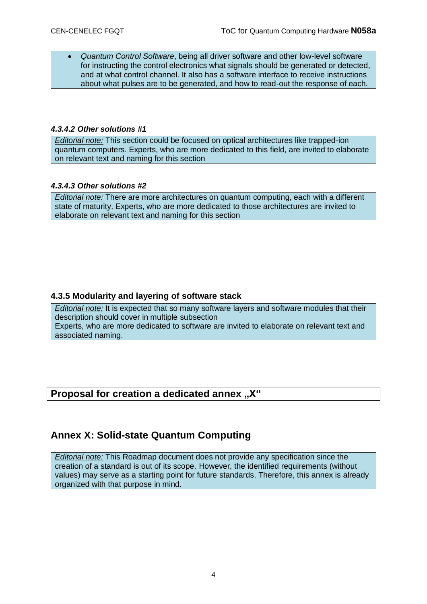• *Quantum Control Software*, being all driver software and other low-level software for instructing the control electronics what signals should be generated or detected, and at what control channel. It also has a software interface to receive instructions about what pulses are to be generated, and how to read-out the response of each.

#### *4.3.4.2 Other solutions #1*

*Editorial note:* This section could be focused on optical architectures like trapped-ion quantum computers. Experts, who are more dedicated to this field, are invited to elaborate on relevant text and naming for this section

#### *4.3.4.3 Other solutions #2*

*Editorial note:* There are more architectures on quantum computing, each with a different state of maturity. Experts, who are more dedicated to those architectures are invited to elaborate on relevant text and naming for this section

#### **4.3.5 Modularity and layering of software stack**

*Editorial note:* It is expected that so many software layers and software modules that their description should cover in multiple subsection Experts, who are more dedicated to software are invited to elaborate on relevant text and associated naming.

### **Proposal for creation a dedicated annex** "X"

### **Annex X: Solid-state Quantum Computing**

*Editorial note:* This Roadmap document does not provide any specification since the creation of a standard is out of its scope. However, the identified requirements (without values) may serve as a starting point for future standards. Therefore, this annex is already organized with that purpose in mind.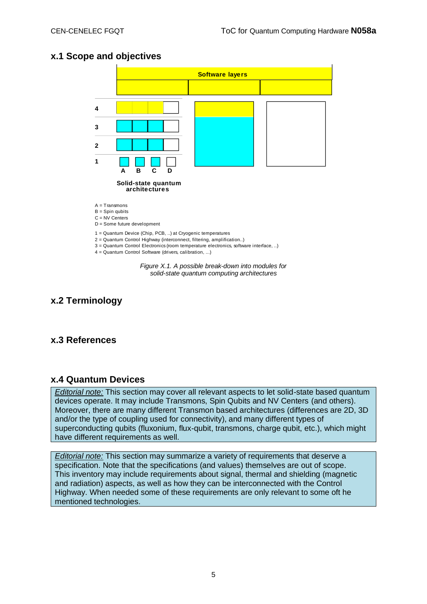### **x.1 Scope and objectives**



**x.2 Terminology**

### **x.3 References**

#### **x.4 Quantum Devices**

*Editorial note:* This section may cover all relevant aspects to let solid-state based quantum devices operate. It may include Transmons, Spin Qubits and NV Centers (and others). Moreover, there are many different Transmon based architectures (differences are 2D, 3D and/or the type of coupling used for connectivity), and many different types of superconducting qubits (fluxonium, flux-qubit, transmons, charge qubit, etc.), which might have different requirements as well.

*Editorial note:* This section may summarize a variety of requirements that deserve a specification. Note that the specifications (and values) themselves are out of scope. This inventory may include requirements about signal, thermal and shielding (magnetic and radiation) aspects, as well as how they can be interconnected with the Control Highway. When needed some of these requirements are only relevant to some oft he mentioned technologies.